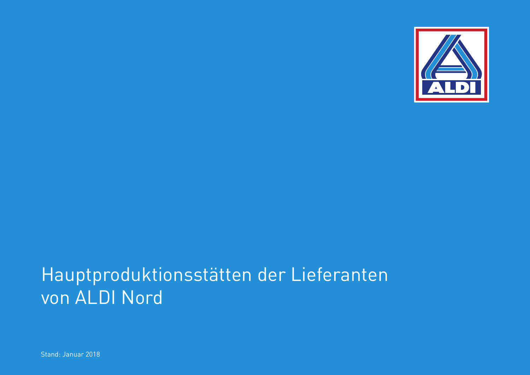

## Hauptproduktionsstätten der Lieferanten von ALDI Nord

Stand: Januar 2018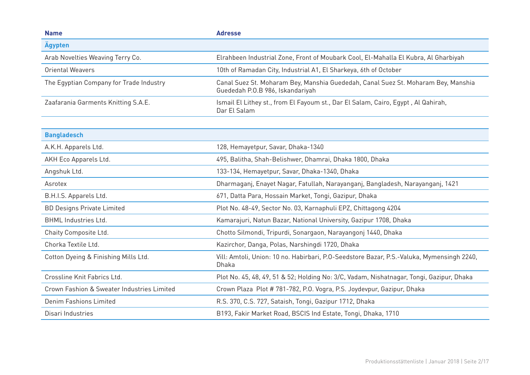| <b>Name</b>                                | <b>Adresse</b>                                                                                                        |
|--------------------------------------------|-----------------------------------------------------------------------------------------------------------------------|
| Ägypten                                    |                                                                                                                       |
| Arab Novelties Weaving Terry Co.           | Elrahbeen Industrial Zone, Front of Moubark Cool, El-Mahalla El Kubra, Al Gharbiyah                                   |
| <b>Oriental Weavers</b>                    | 10th of Ramadan City, Industrial A1, El Sharkeya, 6th of October                                                      |
| The Egyptian Company for Trade Industry    | Canal Suez St. Moharam Bey, Manshia Guededah, Canal Suez St. Moharam Bey, Manshia<br>Guededah P.O.B 986, Iskandariyah |
| Zaafarania Garments Knitting S.A.E.        | Ismail El Lithey st., from El Fayoum st., Dar El Salam, Cairo, Egypt, Al Qahirah,<br>Dar El Salam                     |
|                                            |                                                                                                                       |
| <b>Bangladesch</b>                         |                                                                                                                       |
| A.K.H. Apparels Ltd.                       | 128, Hemayetpur, Savar, Dhaka-1340                                                                                    |
| AKH Eco Apparels Ltd.                      | 495, Balitha, Shah-Belishwer, Dhamrai, Dhaka 1800, Dhaka                                                              |
| Angshuk Ltd.                               | 133-134, Hemayetpur, Savar, Dhaka-1340, Dhaka                                                                         |
| Asrotex                                    | Dharmaganj, Enayet Nagar, Fatullah, Narayanganj, Bangladesh, Narayanganj, 1421                                        |
| B.H.I.S. Apparels Ltd.                     | 671, Datta Para, Hossain Market, Tongi, Gazipur, Dhaka                                                                |
| <b>BD Designs Private Limited</b>          | Plot No. 48-49, Sector No. 03, Karnaphuli EPZ, Chittagong 4204                                                        |
| <b>BHML Industries Ltd.</b>                | Kamarajuri, Natun Bazar, National University, Gazipur 1708, Dhaka                                                     |
| Chaity Composite Ltd.                      | Chotto Silmondi, Tripurdi, Sonargaon, Narayangonj 1440, Dhaka                                                         |
| Chorka Textile Ltd.                        | Kazirchor, Danga, Polas, Narshingdi 1720, Dhaka                                                                       |
| Cotton Dyeing & Finishing Mills Ltd.       | Vill: Amtoli, Union: 10 no. Habirbari, P.O-Seedstore Bazar, P.S.-Valuka, Mymensingh 2240,<br>Dhaka                    |
| Crossline Knit Fabrics Ltd.                | Plot No. 45, 48, 49, 51 & 52; Holding No: 3/C, Vadam, Nishatnagar, Tongi, Gazipur, Dhaka                              |
| Crown Fashion & Sweater Industries Limited | Crown Plaza Plot #781-782, P.O. Vogra, P.S. Joydevpur, Gazipur, Dhaka                                                 |
| Denim Fashions Limited                     | R.S. 370, C.S. 727, Sataish, Tongi, Gazipur 1712, Dhaka                                                               |
| Disari Industries                          | B193, Fakir Market Road, BSCIS Ind Estate, Tongi, Dhaka, 1710                                                         |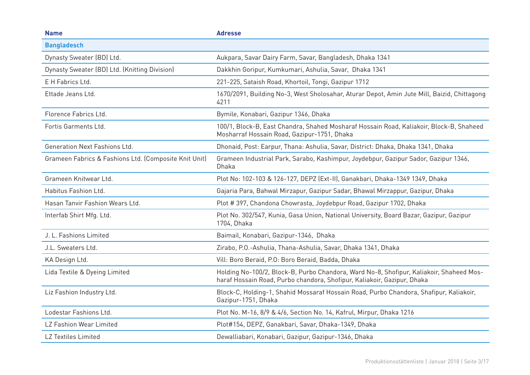| <b>Name</b>                                           | <b>Adresse</b>                                                                                                                                                     |
|-------------------------------------------------------|--------------------------------------------------------------------------------------------------------------------------------------------------------------------|
| <b>Bangladesch</b>                                    |                                                                                                                                                                    |
| Dynasty Sweater (BD) Ltd.                             | Aukpara, Savar Dairy Farm, Savar, Bangladesh, Dhaka 1341                                                                                                           |
| Dynasty Sweater (BD) Ltd. (Knitting Division)         | Dakkhin Goripur, Kumkumari, Ashulia, Savar, Dhaka 1341                                                                                                             |
| E H Fabrics Ltd.                                      | 221-225, Sataish Road, Khortoil, Tongi, Gazipur 1712                                                                                                               |
| Ettade Jeans Ltd.                                     | 1670/2091, Building No-3, West Sholosahar, Aturar Depot, Amin Jute Mill, Baizid, Chittagong<br>4211                                                                |
| Florence Fabrics Ltd.                                 | Bymile, Konabari, Gazipur 1346, Dhaka                                                                                                                              |
| Fortis Garments Ltd.                                  | 100/1, Block-B, East Chandra, Shahed Mosharaf Hossain Road, Kaliakoir, Block-B, Shaheed<br>Mosharraf Hossain Road, Gazipur-1751, Dhaka                             |
| Generation Next Fashions Ltd.                         | Dhonaid, Post: Earpur, Thana: Ashulia, Savar, District: Dhaka, Dhaka 1341, Dhaka                                                                                   |
| Grameen Fabrics & Fashions Ltd. (Composite Knit Unit) | Grameen Industrial Park, Sarabo, Kashimpur, Joydebpur, Gazipur Sador, Gazipur 1346,<br>Dhaka                                                                       |
| Grameen Knitwear Ltd.                                 | Plot No: 102-103 & 126-127, DEPZ (Ext-II), Ganakbari, Dhaka-1349 1349, Dhaka                                                                                       |
| Habitus Fashion Ltd.                                  | Gajaria Para, Bahwal Mirzapur, Gazipur Sadar, Bhawal Mirzappur, Gazipur, Dhaka                                                                                     |
| Hasan Tanvir Fashion Wears Ltd.                       | Plot #397, Chandona Chowrasta, Joydebpur Road, Gazipur 1702, Dhaka                                                                                                 |
| Interfab Shirt Mfg. Ltd.                              | Plot No. 302/547, Kunia, Gasa Union, National University, Board Bazar, Gazipur, Gazipur<br>1704, Dhaka                                                             |
| J. L. Fashions Limited                                | Baimail, Konabari, Gazipur-1346, Dhaka                                                                                                                             |
| J.L. Sweaters Ltd.                                    | Zirabo, P.O.-Ashulia, Thana-Ashulia, Savar, Dhaka 1341, Dhaka                                                                                                      |
| KA Design Ltd.                                        | Vill: Boro Beraid, P.O: Boro Beraid, Badda, Dhaka                                                                                                                  |
| Lida Textile & Dyeing Limited                         | Holding No-100/2, Block-B, Purbo Chandora, Ward No-8, Shofipur, Kaliakoir, Shaheed Mos-<br>haraf Hossain Road, Purbo chandora, Shofipur, Kaliakoir, Gazipur, Dhaka |
| Liz Fashion Industry Ltd.                             | Block-C, Holding-1, Shahid Mossaraf Hossain Road, Purbo Chandora, Shafipur, Kaliakoir,<br>Gazipur-1751, Dhaka                                                      |
| Lodestar Fashions Ltd.                                | Plot No. M-16, 8/9 & 4/6, Section No. 14, Kafrul, Mirpur, Dhaka 1216                                                                                               |
| LZ Fashion Wear Limited                               | Plot#154, DEPZ, Ganakbari, Savar, Dhaka-1349, Dhaka                                                                                                                |
| <b>LZ Textiles Limited</b>                            | Dewalliabari, Konabari, Gazipur, Gazipur-1346, Dhaka                                                                                                               |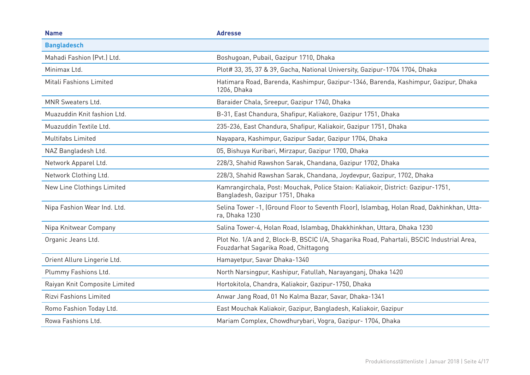| <b>Name</b>                   | <b>Adresse</b>                                                                                                                    |
|-------------------------------|-----------------------------------------------------------------------------------------------------------------------------------|
| <b>Bangladesch</b>            |                                                                                                                                   |
| Mahadi Fashion (Pvt.) Ltd.    | Boshugoan, Pubail, Gazipur 1710, Dhaka                                                                                            |
| Minimax Ltd.                  | Plot# 33, 35, 37 & 39, Gacha, National University, Gazipur-1704 1704, Dhaka                                                       |
| Mitali Fashions Limited       | Hatimara Road, Barenda, Kashimpur, Gazipur-1346, Barenda, Kashimpur, Gazipur, Dhaka<br>1206, Dhaka                                |
| MNR Sweaters Ltd.             | Baraider Chala, Sreepur, Gazipur 1740, Dhaka                                                                                      |
| Muazuddin Knit fashion Ltd.   | B-31, East Chandura, Shafipur, Kaliakore, Gazipur 1751, Dhaka                                                                     |
| Muazuddin Textile Ltd.        | 235-236, East Chandura, Shafipur, Kaliakoir, Gazipur 1751, Dhaka                                                                  |
| <b>Multifabs Limited</b>      | Nayapara, Kashimpur, Gazipur Sadar, Gazipur 1704, Dhaka                                                                           |
| NAZ Bangladesh Ltd.           | 05, Bishuya Kuribari, Mirzapur, Gazipur 1700, Dhaka                                                                               |
| Network Apparel Ltd.          | 228/3, Shahid Rawshon Sarak, Chandana, Gazipur 1702, Dhaka                                                                        |
| Network Clothing Ltd.         | 228/3, Shahid Rawshan Sarak, Chandana, Joydevpur, Gazipur, 1702, Dhaka                                                            |
| New Line Clothings Limited    | Kamrangirchala, Post: Mouchak, Police Staion: Kaliakoir, District: Gazipur-1751,<br>Bangladesh, Gazipur 1751, Dhaka               |
| Nipa Fashion Wear Ind. Ltd.   | Selina Tower -1, (Ground Floor to Seventh Floor), Islambag, Holan Road, Dakhinkhan, Utta-<br>ra, Dhaka 1230                       |
| Nipa Knitwear Company         | Salina Tower-4, Holan Road, Islambag, Dhakkhinkhan, Uttara, Dhaka 1230                                                            |
| Organic Jeans Ltd.            | Plot No. 1/A and 2, Block-B, BSCIC I/A, Shagarika Road, Pahartali, BSCIC Industrial Area,<br>Fouzdarhat Sagarika Road, Chittagong |
| Orient Allure Lingerie Ltd.   | Hamayetpur, Savar Dhaka-1340                                                                                                      |
| Plummy Fashions Ltd.          | North Narsingpur, Kashipur, Fatullah, Narayanganj, Dhaka 1420                                                                     |
| Raiyan Knit Composite Limited | Hortokitola, Chandra, Kaliakoir, Gazipur-1750, Dhaka                                                                              |
| <b>Rizvi Fashions Limited</b> | Anwar Jang Road, 01 No Kalma Bazar, Savar, Dhaka-1341                                                                             |
| Romo Fashion Today Ltd.       | East Mouchak Kaliakoir, Gazipur, Bangladesh, Kaliakoir, Gazipur                                                                   |
| Rowa Fashions Ltd.            | Mariam Complex, Chowdhurybari, Vogra, Gazipur- 1704, Dhaka                                                                        |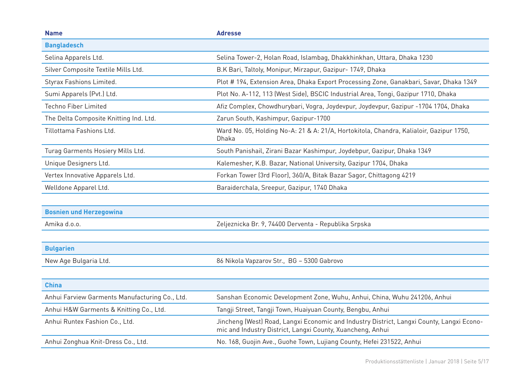| <b>Name</b>                                    | <b>Adresse</b>                                                                                                                                          |
|------------------------------------------------|---------------------------------------------------------------------------------------------------------------------------------------------------------|
| <b>Bangladesch</b>                             |                                                                                                                                                         |
| Selina Apparels Ltd.                           | Selina Tower-2, Holan Road, Islambag, Dhakkhinkhan, Uttara, Dhaka 1230                                                                                  |
| Silver Composite Textile Mills Ltd.            | B.K Bari, Taltoly, Monipur, Mirzapur, Gazipur- 1749, Dhaka                                                                                              |
| Styrax Fashions Limited.                       | Plot # 194, Extension Area, Dhaka Export Processing Zone, Ganakbari, Savar, Dhaka 1349                                                                  |
| Sumi Apparels (Pvt.) Ltd.                      | Plot No. A-112, 113 (West Side), BSCIC Industrial Area, Tongi, Gazipur 1710, Dhaka                                                                      |
| <b>Techno Fiber Limited</b>                    | Afiz Complex, Chowdhurybari, Vogra, Joydevpur, Joydevpur, Gazipur -1704 1704, Dhaka                                                                     |
| The Delta Composite Knitting Ind. Ltd.         | Zarun South, Kashimpur, Gazipur-1700                                                                                                                    |
| Tillottama Fashions Ltd.                       | Ward No. 05, Holding No-A: 21 & A: 21/A, Hortokitola, Chandra, Kalialoir, Gazipur 1750,<br><b>Dhaka</b>                                                 |
| Turag Garments Hosiery Mills Ltd.              | South Panishail, Zirani Bazar Kashimpur, Joydebpur, Gazipur, Dhaka 1349                                                                                 |
| Unique Designers Ltd.                          | Kalemesher, K.B. Bazar, National University, Gazipur 1704, Dhaka                                                                                        |
| Vertex Innovative Apparels Ltd.                | Forkan Tower (3rd Floor), 360/A, Bitak Bazar Sagor, Chittagong 4219                                                                                     |
| Welldone Apparel Ltd.                          | Baraiderchala, Sreepur, Gazipur, 1740 Dhaka                                                                                                             |
|                                                |                                                                                                                                                         |
| <b>Bosnien und Herzegowina</b>                 |                                                                                                                                                         |
| Amika d.o.o.                                   | Zeljeznicka Br. 9, 74400 Derventa - Republika Srpska                                                                                                    |
|                                                |                                                                                                                                                         |
| <b>Bulgarien</b>                               |                                                                                                                                                         |
| New Age Bulgaria Ltd.                          | 86 Nikola Vapzarov Str., BG - 5300 Gabrovo                                                                                                              |
|                                                |                                                                                                                                                         |
| <b>China</b>                                   |                                                                                                                                                         |
| Anhui Farview Garments Manufacturing Co., Ltd. | Sanshan Economic Development Zone, Wuhu, Anhui, China, Wuhu 241206, Anhui                                                                               |
| Anhui H&W Garments & Knitting Co., Ltd.        | Tangji Street, Tangji Town, Huaiyuan County, Bengbu, Anhui                                                                                              |
| Anhui Runtex Fashion Co., Ltd.                 | Jincheng (West) Road, Langxi Economic and Industry District, Langxi County, Langxi Econo-<br>mic and Industry District, Langxi County, Xuancheng, Anhui |
| Anhui Zonghua Knit-Dress Co., Ltd.             | No. 168, Guojin Ave., Guohe Town, Lujiang County, Hefei 231522, Anhui                                                                                   |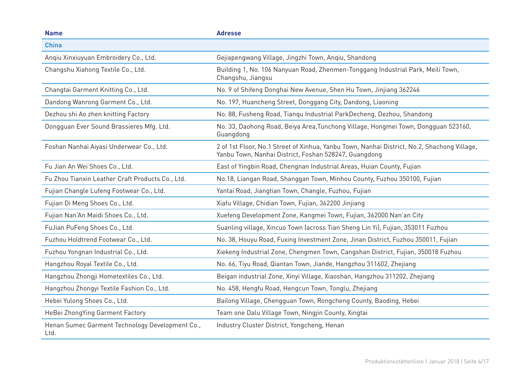| <b>Name</b>                                             | <b>Adresse</b>                                                                                                                                       |
|---------------------------------------------------------|------------------------------------------------------------------------------------------------------------------------------------------------------|
| <b>China</b>                                            |                                                                                                                                                      |
| Anqiu Xinxiuyuan Embroidery Co., Ltd.                   | Gejiapengwang Village, Jingzhi Town, Anqiu, Shandong                                                                                                 |
| Changshu Xiahong Textile Co., Ltd.                      | Building 1, No. 106 Nanyuan Road, Zhenmen-Tonggang Industrial Park, Meili Town,<br>Changshu, Jiangsu                                                 |
| Changtai Garment Knitting Co., Ltd.                     | No. 9 of Shifeng Donghai New Avenue, Shen Hu Town, Jinjiang 362246                                                                                   |
| Dandong Wanrong Garment Co., Ltd.                       | No. 197, Huancheng Street, Donggang City, Dandong, Liaoning                                                                                          |
| Dezhou shi Ao zhen knitting Factory                     | No. 88, Fusheng Road, Tiangu Industrial ParkDecheng, Dezhou, Shandong                                                                                |
| Dongguan Ever Sound Brassieres Mfg. Ltd.                | No. 33, Daohong Road, Beiya Area, Tunchong Village, Hongmei Town, Dongguan 523160,<br>Guangdong                                                      |
| Foshan Nanhai Aiyasi Underwear Co., Ltd.                | 2 of 1st Floor, No.1 Street of Xinhua, Yanbu Town, Nanhai District, No.2, Shachong Village,<br>Yanbu Town, Nanhai District, Foshan 528247, Guangdong |
| Fu Jian An Wei Shoes Co., Ltd.                          | East of Yingbin Road, Chengnan Industrial Areas, Huian County, Fujian                                                                                |
| Fu Zhou Tianxin Leather Craft Products Co., Ltd.        | No.18, Liangan Road, Shanggan Town, Minhou County, Fuzhou 350100, Fujian                                                                             |
| Fujian Changle Lufeng Footwear Co., Ltd.                | Yantai Road, Jiangtian Town, Changle, Fuzhou, Fujian                                                                                                 |
| Fujian Di Meng Shoes Co., Ltd.                          | Xiafu Village, Chidian Town, Fujian, 362200 Jinjiang                                                                                                 |
| Fujian Nan'An Maidi Shoes Co., Ltd.                     | Xuefeng Development Zone, Kangmei Town, Fujian, 362000 Nan'an City                                                                                   |
| FuJian PuFeng Shoes Co., Ltd.                           | Suanling village, Xincuo Town (across Tian Sheng Lin Yi), Fujian, 353011 Fuzhou                                                                      |
| Fuzhou Holdtrend Footwear Co., Ltd.                     | No. 38, Houyu Road, Fuxing Investment Zone, Jinan District, Fuzhou 350011, Fujian                                                                    |
| Fuzhou Yongnan Industrial Co., Ltd.                     | Xiekeng Industrial Zone, Chengmen Town, Cangshan District, Fujian, 350018 Fuzhou                                                                     |
| Hangzhou Royal Textile Co., Ltd.                        | No. 66, Tiyu Road, Qiantan Town, Jiande, Hangzhou 311602, Zhejiang                                                                                   |
| Hangzhou Zhongji Hometextiles Co., Ltd.                 | Beigan industrial Zone, Xinyi Village, Xiaoshan, Hangzhou 311202, Zhejiang                                                                           |
| Hangzhou Zhongyi Textile Fashion Co., Ltd.              | No. 458, Hengfu Road, Hengcun Town, Tonglu, Zhejiang                                                                                                 |
| Hebei Yulong Shoes Co., Ltd.                            | Bailong Village, Chengguan Town, Rongcheng County, Baoding, Hebei                                                                                    |
| HeBei ZhongYing Garment Factory                         | Team one Dalu Village Town, Ningjin County, Xingtai                                                                                                  |
| Henan Sumec Garment Technology Development Co.,<br>Ltd. | Industry Cluster District, Yongcheng, Henan                                                                                                          |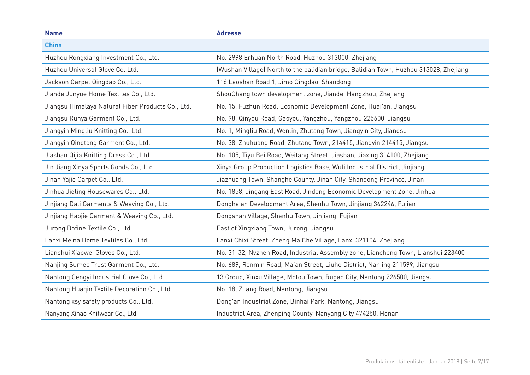| <b>Name</b>                                       | <b>Adresse</b>                                                                        |
|---------------------------------------------------|---------------------------------------------------------------------------------------|
| <b>China</b>                                      |                                                                                       |
| Huzhou Rongxiang Investment Co., Ltd.             | No. 2998 Erhuan North Road, Huzhou 313000, Zhejiang                                   |
| Huzhou Universal Glove Co., Ltd.                  | (Wushan Village) North to the balidian bridge, Balidian Town, Huzhou 313028, Zhejiang |
| Jackson Carpet Qingdao Co., Ltd.                  | 116 Laoshan Road 1, Jimo Qingdao, Shandong                                            |
| Jiande Junyue Home Textiles Co., Ltd.             | ShouChang town development zone, Jiande, Hangzhou, Zhejiang                           |
| Jiangsu Himalaya Natural Fiber Products Co., Ltd. | No. 15, Fuzhun Road, Economic Development Zone, Huai'an, Jiangsu                      |
| Jiangsu Runya Garment Co., Ltd.                   | No. 98, Qinyou Road, Gaoyou, Yangzhou, Yangzhou 225600, Jiangsu                       |
| Jiangyin Mingliu Knitting Co., Ltd.               | No. 1, Mingliu Road, Wenlin, Zhutang Town, Jiangyin City, Jiangsu                     |
| Jiangyin Qingtong Garment Co., Ltd.               | No. 38, Zhuhuang Road, Zhutang Town, 214415, Jiangyin 214415, Jiangsu                 |
| Jiashan Qijia Knitting Dress Co., Ltd.            | No. 105, Tiyu Bei Road, Weitang Street, Jiashan, Jiaxing 314100, Zhejiang             |
| Jin Jiang Xinya Sports Goods Co., Ltd.            | Xinya Group Production Logistics Base, Wuli Industrial District, Jinjiang             |
| Jinan Yajie Carpet Co., Ltd.                      | Jiazhuang Town, Shanghe County, Jinan City, Shandong Province, Jinan                  |
| Jinhua Jieling Housewares Co., Ltd.               | No. 1858, Jingang East Road, Jindong Economic Development Zone, Jinhua                |
| Jinjiang Dali Garments & Weaving Co., Ltd.        | Donghaian Development Area, Shenhu Town, Jinjiang 362246, Fujian                      |
| Jinjiang Haojie Garment & Weaving Co., Ltd.       | Dongshan Village, Shenhu Town, Jinjiang, Fujian                                       |
| Jurong Dofine Textile Co., Ltd.                   | East of Xingxiang Town, Jurong, Jiangsu                                               |
| Lanxi Meina Home Textiles Co., Ltd.               | Lanxi Chixi Street, Zheng Ma Che Village, Lanxi 321104, Zhejiang                      |
| Lianshui Xiaowei Gloves Co., Ltd.                 | No. 31-32, Nvzhen Road, Industrial Assembly zone, Liancheng Town, Lianshui 223400     |
| Nanjing Sumec Trust Garment Co., Ltd.             | No. 689, Renmin Road, Ma'an Street, Liuhe District, Nanjing 211599, Jiangsu           |
| Nantong Cengyi Industrial Glove Co., Ltd.         | 13 Group, Xinxu Village, Motou Town, Rugao City, Nantong 226500, Jiangsu              |
| Nantong Huaqin Textile Decoration Co., Ltd.       | No. 18, Zilang Road, Nantong, Jiangsu                                                 |
| Nantong xsy safety products Co., Ltd.             | Dong'an Industrial Zone, Binhai Park, Nantong, Jiangsu                                |
| Nanyang Xinao Knitwear Co., Ltd                   | Industrial Area, Zhenping County, Nanyang City 474250, Henan                          |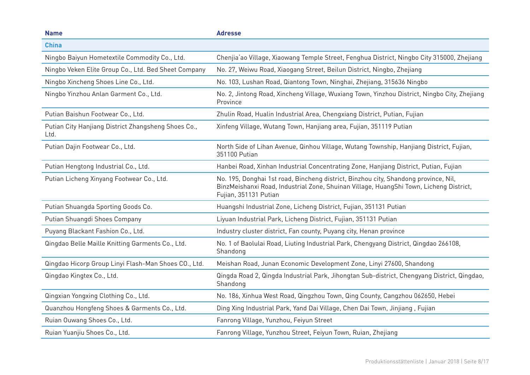| <b>Name</b>                                                 | <b>Adresse</b>                                                                                                                                                                                         |
|-------------------------------------------------------------|--------------------------------------------------------------------------------------------------------------------------------------------------------------------------------------------------------|
| <b>China</b>                                                |                                                                                                                                                                                                        |
| Ningbo Baiyun Hometextile Commodity Co., Ltd.               | Chenjia'ao Village, Xiaowang Temple Street, Fenghua District, Ningbo City 315000, Zhejiang                                                                                                             |
| Ningbo Veken Elite Group Co., Ltd. Bed Sheet Company        | No. 27, Weiwu Road, Xiaogang Street, Beilun District, Ningbo, Zhejiang                                                                                                                                 |
| Ningbo Xincheng Shoes Line Co., Ltd.                        | No. 103, Lushan Road, Qiantong Town, Ninghai, Zhejiang, 315636 Ningbo                                                                                                                                  |
| Ningbo Yinzhou Anlan Garment Co., Ltd.                      | No. 2, Jintong Road, Xincheng Village, Wuxiang Town, Yinzhou District, Ningbo City, Zhejiang<br>Province                                                                                               |
| Putian Baishun Footwear Co., Ltd.                           | Zhulin Road, Hualin Industrial Area, Chengxiang District, Putian, Fujian                                                                                                                               |
| Putian City Hanjiang District Zhangsheng Shoes Co.,<br>Ltd. | Xinfeng Village, Wutang Town, Hanjiang area, Fujian, 351119 Putian                                                                                                                                     |
| Putian Dajin Footwear Co., Ltd.                             | North Side of Lihan Avenue, Qinhou Village, Wutang Township, Hanjiang District, Fujian,<br>351100 Putian                                                                                               |
| Putian Hengtong Industrial Co., Ltd.                        | Hanbei Road, Xinhan Industrial Concentrating Zone, Hanjiang District, Putian, Fujian                                                                                                                   |
| Putian Licheng Xinyang Footwear Co., Ltd.                   | No. 195, Donghai 1st road, Bincheng district, Binzhou city, Shandong province, Nil,<br>BinzMeishanxi Road, Industrial Zone, Shuinan Village, HuangShi Town, Licheng District,<br>Fujian, 351131 Putian |
| Putian Shuangda Sporting Goods Co.                          | Huangshi Industrial Zone, Licheng District, Fujian, 351131 Putian                                                                                                                                      |
| Putian Shuangdi Shoes Company                               | Liyuan Industrial Park, Licheng District, Fujian, 351131 Putian                                                                                                                                        |
| Puyang Blackant Fashion Co., Ltd.                           | Industry cluster district, Fan county, Puyang city, Henan province                                                                                                                                     |
| Qingdao Belle Maille Knitting Garments Co., Ltd.            | No. 1 of Baolulai Road, Liuting Industrial Park, Chengyang District, Qingdao 266108,<br>Shandong                                                                                                       |
| Qingdao Hicorp Group Linyi Flash-Man Shoes CO., Ltd.        | Meishan Road, Junan Economic Development Zone, Linyi 27600, Shandong                                                                                                                                   |
| Qingdao Kingtex Co., Ltd.                                   | Qingda Road 2, Qingda Industrial Park, Jihongtan Sub-district, Chengyang District, Qingdao,<br>Shandong                                                                                                |
| Qingxian Yongxing Clothing Co., Ltd.                        | No. 186, Xinhua West Road, Qingzhou Town, Qing County, Cangzhou 062650, Hebei                                                                                                                          |
| Quanzhou Hongfeng Shoes & Garments Co., Ltd.                | Ding Xing Industrial Park, Yand Dai Village, Chen Dai Town, Jinjiang, Fujian                                                                                                                           |
| Ruian Ouwang Shoes Co., Ltd.                                | Fanrong Village, Yunzhou, Feiyun Street                                                                                                                                                                |
| Ruian Yuanjiu Shoes Co., Ltd.                               | Fanrong Village, Yunzhou Street, Feiyun Town, Ruian, Zhejiang                                                                                                                                          |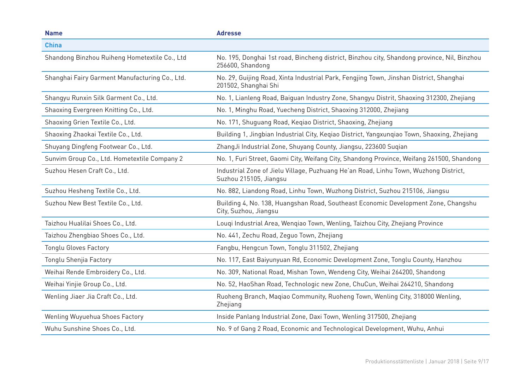| <b>Name</b>                                    | <b>Adresse</b>                                                                                                  |
|------------------------------------------------|-----------------------------------------------------------------------------------------------------------------|
| <b>China</b>                                   |                                                                                                                 |
| Shandong Binzhou Ruiheng Hometextile Co., Ltd  | No. 195, Donghai 1st road, Bincheng district, Binzhou city, Shandong province, Nil, Binzhou<br>256600, Shandong |
| Shanghai Fairy Garment Manufacturing Co., Ltd. | No. 29, Guijing Road, Xinta Industrial Park, Fengjing Town, Jinshan District, Shanghai<br>201502, Shanghai Shi  |
| Shangyu Runxin Silk Garment Co., Ltd.          | No. 1, Lianleng Road, Baiguan Industry Zone, Shangyu Distrit, Shaoxing 312300, Zhejiang                         |
| Shaoxing Evergreen Knitting Co., Ltd.          | No. 1, Minghu Road, Yuecheng District, Shaoxing 312000, Zhejiang                                                |
| Shaoxing Grien Textile Co., Ltd.               | No. 171, Shuguang Road, Keqiao District, Shaoxing, Zhejiang                                                     |
| Shaoxing Zhaokai Textile Co., Ltd.             | Building 1, Jingbian Industrial City, Keqiao District, Yangxunqiao Town, Shaoxing, Zhejiang                     |
| Shuyang Dingfeng Footwear Co., Ltd.            | ZhangJi Industrial Zone, Shuyang County, Jiangsu, 223600 Sugian                                                 |
| Sunvim Group Co., Ltd. Hometextile Company 2   | No. 1, Furi Street, Gaomi City, Weifang City, Shandong Province, Weifang 261500, Shandong                       |
| Suzhou Hesen Craft Co., Ltd.                   | Industrial Zone of Jielu Village, Puzhuang He'an Road, Linhu Town, Wuzhong District,<br>Suzhou 215105, Jiangsu  |
| Suzhou Hesheng Textile Co., Ltd.               | No. 882, Liandong Road, Linhu Town, Wuzhong District, Suzhou 215106, Jiangsu                                    |
| Suzhou New Best Textile Co., Ltd.              | Building 4, No. 138, Huangshan Road, Southeast Economic Development Zone, Changshu<br>City, Suzhou, Jiangsu     |
| Taizhou Hualilai Shoes Co., Ltd.               | Louqi Industrial Area, Wenqiao Town, Wenling, Taizhou City, Zhejiang Province                                   |
| Taizhou Zhengbiao Shoes Co., Ltd.              | No. 441, Zechu Road, Zeguo Town, Zhejiang                                                                       |
| <b>Tonglu Gloves Factory</b>                   | Fangbu, Hengcun Town, Tonglu 311502, Zhejiang                                                                   |
| Tonglu Shenjia Factory                         | No. 117, East Baiyunyuan Rd, Economic Development Zone, Tonglu County, Hanzhou                                  |
| Weihai Rende Embroidery Co., Ltd.              | No. 309, National Road, Mishan Town, Wendeng City, Weihai 264200, Shandong                                      |
| Weihai Yinjie Group Co., Ltd.                  | No. 52, HaoShan Road, Technologic new Zone, ChuCun, Weihai 264210, Shandong                                     |
| Wenling Jiaer Jia Craft Co., Ltd.              | Ruoheng Branch, Maqiao Community, Ruoheng Town, Wenling City, 318000 Wenling,<br>Zhejiang                       |
| Wenling Wuyuehua Shoes Factory                 | Inside Panlang Industrial Zone, Daxi Town, Wenling 317500, Zhejiang                                             |
| Wuhu Sunshine Shoes Co., Ltd.                  | No. 9 of Gang 2 Road, Economic and Technological Development, Wuhu, Anhui                                       |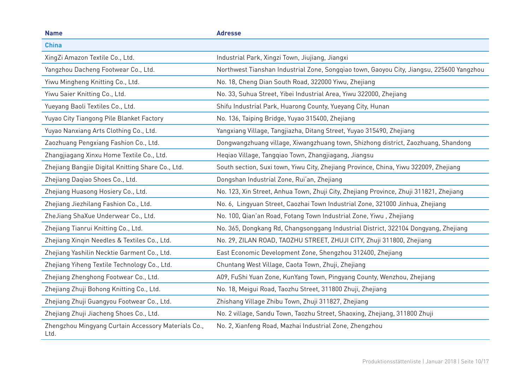| <b>Name</b>                                                 | <b>Adresse</b>                                                                           |
|-------------------------------------------------------------|------------------------------------------------------------------------------------------|
| <b>China</b>                                                |                                                                                          |
| XingZi Amazon Textile Co., Ltd.                             | Industrial Park, Xingzi Town, Jiujiang, Jiangxi                                          |
| Yangzhou Dacheng Footwear Co., Ltd.                         | Northwest Tianshan Industrial Zone, Songqiao town, Gaoyou City, Jiangsu, 225600 Yangzhou |
| Yiwu Mingheng Knitting Co., Ltd.                            | No. 18, Cheng Dian South Road, 322000 Yiwu, Zhejiang                                     |
| Yiwu Saier Knitting Co., Ltd.                               | No. 33, Suhua Street, Yibei Industrial Area, Yiwu 322000, Zhejiang                       |
| Yueyang Baoli Textiles Co., Ltd.                            | Shifu Industrial Park, Huarong County, Yueyang City, Hunan                               |
| Yuyao City Tiangong Pile Blanket Factory                    | No. 136, Taiping Bridge, Yuyao 315400, Zhejiang                                          |
| Yuyao Nanxiang Arts Clothing Co., Ltd.                      | Yangxiang Village, Tangjiazha, Ditang Street, Yuyao 315490, Zhejiang                     |
| Zaozhuang Pengxiang Fashion Co., Ltd.                       | Dongwangzhuang village, Xiwangzhuang town, Shizhong district, Zaozhuang, Shandong        |
| Zhangjiagang Xinxu Home Textile Co., Ltd.                   | Hegiao Village, Tanggiao Town, Zhangjiagang, Jiangsu                                     |
| Zhejiang Bangjie Digital Knitting Share Co., Ltd.           | South section, Suxi town, Yiwu City, Zhejiang Province, China, Yiwu 322009, Zhejiang     |
| Zhejiang Daqiao Shoes Co., Ltd.                             | Dongshan Industrial Zone, Rui'an, Zhejiang                                               |
| Zhejiang Huasong Hosiery Co., Ltd.                          | No. 123, Xin Street, Anhua Town, Zhuji City, Zhejiang Province, Zhuji 311821, Zhejiang   |
| Zhejiang Jiezhilang Fashion Co., Ltd.                       | No. 6, Lingyuan Street, Caozhai Town Industrial Zone, 321000 Jinhua, Zhejiang            |
| ZheJiang ShaXue Underwear Co., Ltd.                         | No. 100, Qian'an Road, Fotang Town Industrial Zone, Yiwu, Zhejiang                       |
| Zhejiang Tianrui Knitting Co., Ltd.                         | No. 365, Dongkang Rd, Changsonggang Industrial District, 322104 Dongyang, Zhejiang       |
| Zhejiang Xinqin Needles & Textiles Co., Ltd.                | No. 29, ZILAN ROAD, TAOZHU STREET, ZHUJI CITY, Zhuji 311800, Zhejiang                    |
| Zhejiang Yashilin Necktie Garment Co., Ltd.                 | East Economic Development Zone, Shengzhou 312400, Zhejiang                               |
| Zhejiang Yiheng Textile Technology Co., Ltd.                | Chuntang West Village, Caota Town, Zhuji, Zhejiang                                       |
| Zhejiang Zhenghong Footwear Co., Ltd.                       | A09, FuShi Yuan Zone, KunYang Town, Pingyang County, Wenzhou, Zhejiang                   |
| Zhejiang Zhuji Bohong Knitting Co., Ltd.                    | No. 18, Meigui Road, Taozhu Street, 311800 Zhuji, Zhejiang                               |
| Zhejiang Zhuji Guangyou Footwear Co., Ltd.                  | Zhishang Village Zhibu Town, Zhuji 311827, Zhejiang                                      |
| Zhejiang Zhuji Jiacheng Shoes Co., Ltd.                     | No. 2 village, Sandu Town, Taozhu Street, Shaoxing, Zhejiang, 311800 Zhuji               |
| Zhengzhou Mingyang Curtain Accessory Materials Co.,<br>Ltd. | No. 2, Xianfeng Road, Mazhai Industrial Zone, Zhengzhou                                  |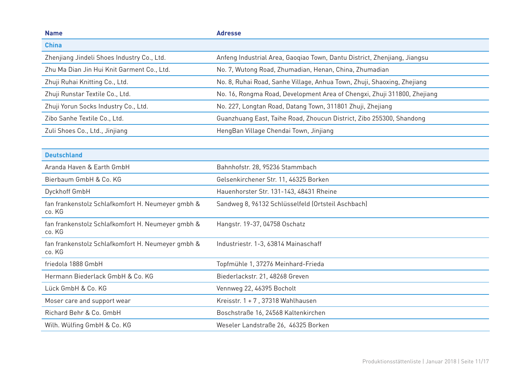| <b>Name</b>                                                 | <b>Adresse</b>                                                           |
|-------------------------------------------------------------|--------------------------------------------------------------------------|
| <b>China</b>                                                |                                                                          |
| Zhenjiang Jindeli Shoes Industry Co., Ltd.                  | Anfeng Industrial Area, Gaogiao Town, Dantu District, Zhenjiang, Jiangsu |
| Zhu Ma Dian Jin Hui Knit Garment Co., Ltd.                  | No. 7, Wutong Road, Zhumadian, Henan, China, Zhumadian                   |
| Zhuji Ruhai Knitting Co., Ltd.                              | No. 8, Ruhai Road, Sanhe Village, Anhua Town, Zhuji, Shaoxing, Zhejiang  |
| Zhuji Runstar Textile Co., Ltd.                             | No. 16, Rongma Road, Development Area of Chengxi, Zhuji 311800, Zhejiang |
| Zhuji Yorun Socks Industry Co., Ltd.                        | No. 227, Longtan Road, Datang Town, 311801 Zhuji, Zhejiang               |
| Zibo Sanhe Textile Co., Ltd.                                | Guanzhuang East, Taihe Road, Zhoucun District, Zibo 255300, Shandong     |
| Zuli Shoes Co., Ltd., Jinjiang                              | HengBan Village Chendai Town, Jinjiang                                   |
|                                                             |                                                                          |
| <b>Deutschland</b>                                          |                                                                          |
| Aranda Haven & Earth GmbH                                   | Bahnhofstr. 28, 95236 Stammbach                                          |
| Bierbaum GmbH & Co. KG                                      | Gelsenkirchener Str. 11, 46325 Borken                                    |
| Dyckhoff GmbH                                               | Hauenhorster Str. 131-143, 48431 Rheine                                  |
| fan frankenstolz Schlafkomfort H. Neumeyer gmbh &<br>co. KG | Sandweg 8, 96132 Schlüsselfeld (Ortsteil Aschbach)                       |
| fan frankenstolz Schlafkomfort H. Neumeyer gmbh &<br>co. KG | Hangstr. 19-37, 04758 Oschatz                                            |
| fan frankenstolz Schlafkomfort H. Neumeyer gmbh &<br>co. KG | Industriestr. 1-3, 63814 Mainaschaff                                     |
| friedola 1888 GmbH                                          | Topfmühle 1, 37276 Meinhard-Frieda                                       |
| Hermann Biederlack GmbH & Co. KG                            | Biederlackstr. 21, 48268 Greven                                          |
| Lück GmbH & Co. KG                                          | Vennweg 22, 46395 Bocholt                                                |
| Moser care and support wear                                 | Kreisstr. 1 + 7, 37318 Wahlhausen                                        |
| Richard Behr & Co. GmbH                                     | Boschstraße 16, 24568 Kaltenkirchen                                      |
| Wilh. Wülfing GmbH & Co. KG                                 | Weseler Landstraße 26, 46325 Borken                                      |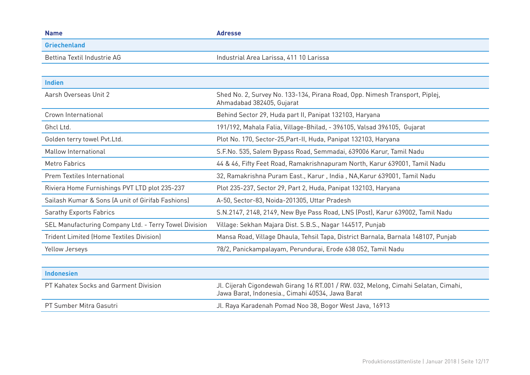| <b>Name</b>                                           | <b>Adresse</b>                                                                                                                         |
|-------------------------------------------------------|----------------------------------------------------------------------------------------------------------------------------------------|
| <b>Griechenland</b>                                   |                                                                                                                                        |
| Bettina Textil Industrie AG                           | Industrial Area Larissa, 411 10 Larissa                                                                                                |
|                                                       |                                                                                                                                        |
| <b>Indien</b>                                         |                                                                                                                                        |
| Aarsh Overseas Unit 2                                 | Shed No. 2, Survey No. 133-134, Pirana Road, Opp. Nimesh Transport, Piplej,<br>Ahmadabad 382405, Gujarat                               |
| Crown International                                   | Behind Sector 29, Huda part II, Panipat 132103, Haryana                                                                                |
| Ghcl Ltd.                                             | 191/192, Mahala Falia, Village-Bhilad, - 396105, Valsad 396105, Gujarat                                                                |
| Golden terry towel Pvt.Ltd.                           | Plot No. 170, Sector-25, Part-II, Huda, Panipat 132103, Haryana                                                                        |
| Mallow International                                  | S.F.No. 535, Salem Bypass Road, Semmadai, 639006 Karur, Tamil Nadu                                                                     |
| <b>Metro Fabrics</b>                                  | 44 & 46, Fifty Feet Road, Ramakrishnapuram North, Karur 639001, Tamil Nadu                                                             |
| Prem Textiles International                           | 32, Ramakrishna Puram East., Karur, India, NA, Karur 639001, Tamil Nadu                                                                |
| Riviera Home Furnishings PVT LTD plot 235-237         | Plot 235-237, Sector 29, Part 2, Huda, Panipat 132103, Haryana                                                                         |
| Sailash Kumar & Sons (A unit of Girifab Fashions)     | A-50, Sector-83, Noida-201305, Uttar Pradesh                                                                                           |
| <b>Sarathy Exports Fabrics</b>                        | S.N.2147, 2148, 2149, New Bye Pass Road, LNS (Post), Karur 639002, Tamil Nadu                                                          |
| SEL Manufacturing Company Ltd. - Terry Towel Division | Village: Sekhan Majara Dist. S.B.S., Nagar 144517, Punjab                                                                              |
| <b>Trident Limited (Home Textiles Division)</b>       | Mansa Road, Village Dhaula, Tehsil Tapa, District Barnala, Barnala 148107, Punjab                                                      |
| Yellow Jerseys                                        | 78/2, Panickampalayam, Perundurai, Erode 638 052, Tamil Nadu                                                                           |
|                                                       |                                                                                                                                        |
| <b>Indonesien</b>                                     |                                                                                                                                        |
| PT Kahatex Socks and Garment Division                 | Jl. Cijerah Cigondewah Girang 16 RT.001 / RW. 032, Melong, Cimahi Selatan, Cimahi,<br>Jawa Barat, Indonesia., Cimahi 40534, Jawa Barat |
| PT Sumber Mitra Gasutri                               | Jl. Raya Karadenah Pomad Noo 38, Bogor West Java, 16913                                                                                |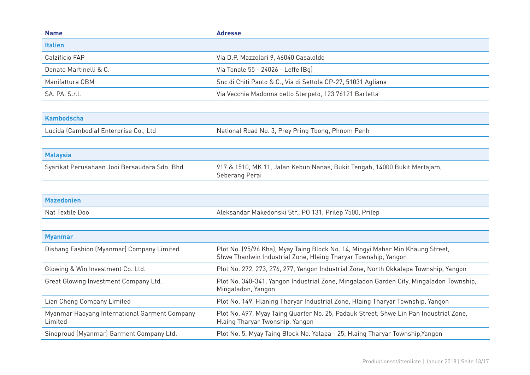| <b>Name</b>                                              | <b>Adresse</b>                                                                                                                                   |
|----------------------------------------------------------|--------------------------------------------------------------------------------------------------------------------------------------------------|
| <b>Italien</b>                                           |                                                                                                                                                  |
| Calzificio FAP                                           | Via D.P. Mazzolari 9, 46040 Casaloldo                                                                                                            |
| Donato Martinelli & C.                                   | Via Tonale 55 - 24026 - Leffe (Bq)                                                                                                               |
| Manifattura CBM                                          | Snc di Chiti Paolo & C., Via di Settola CP-27, 51031 Agliana                                                                                     |
| SA. PA. S.r.l.                                           | Via Vecchia Madonna dello Sterpeto, 123 76121 Barletta                                                                                           |
|                                                          |                                                                                                                                                  |
| <b>Kambodscha</b>                                        |                                                                                                                                                  |
| Lucida (Cambodia) Enterprise Co., Ltd                    | National Road No. 3, Prey Pring Tbong, Phnom Penh                                                                                                |
|                                                          |                                                                                                                                                  |
| <b>Malaysia</b>                                          |                                                                                                                                                  |
| Syarikat Perusahaan Jooi Bersaudara Sdn. Bhd             | 917 & 1510, MK 11, Jalan Kebun Nanas, Bukit Tengah, 14000 Bukit Mertajam,<br>Seberang Perai                                                      |
|                                                          |                                                                                                                                                  |
| <b>Mazedonien</b>                                        |                                                                                                                                                  |
| Nat Textile Doo                                          | Aleksandar Makedonski Str., PO 131, Prilep 7500, Prilep                                                                                          |
|                                                          |                                                                                                                                                  |
| <b>Myanmar</b>                                           |                                                                                                                                                  |
| Dishang Fashion (Myanmar) Company Limited                | Plot No. (95/96 Kha), Myay Taing Block No. 14, Mingyi Mahar Min Khaung Street,<br>Shwe Thanlwin Industrial Zone, Hlaing Tharyar Township, Yangon |
| Glowing & Win Investment Co. Ltd.                        | Plot No. 272, 273, 276, 277, Yangon Industrial Zone, North Okkalapa Township, Yangon                                                             |
| Great Glowing Investment Company Ltd.                    | Plot No. 340-341, Yangon Industrial Zone, Mingaladon Garden City, Mingaladon Township,<br>Mingaladon, Yangon                                     |
| Lian Cheng Company Limited                               | Plot No. 149, Hlaning Tharyar Industrial Zone, Hlaing Tharyar Township, Yangon                                                                   |
| Myanmar Haoyang International Garment Company<br>Limited | Plot No. 497, Myay Taing Quarter No. 25, Padauk Street, Shwe Lin Pan Industrial Zone,<br>Hlaing Tharyar Twonship, Yangon                         |
| Sinoproud (Myanmar) Garment Company Ltd.                 | Plot No. 5, Myay Taing Block No. Yalapa - 25, Hlaing Tharyar Township, Yangon                                                                    |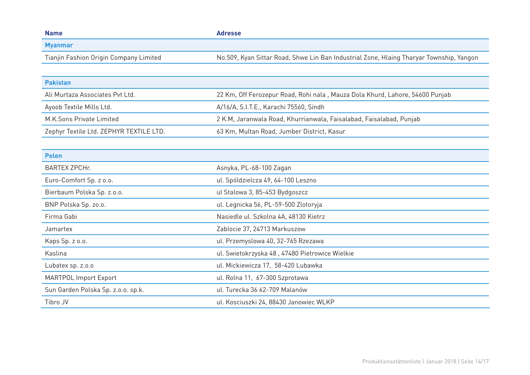| <b>Name</b>                             | <b>Adresse</b>                                                                          |
|-----------------------------------------|-----------------------------------------------------------------------------------------|
| <b>Myanmar</b>                          |                                                                                         |
| Tianjin Fashion Origin Company Limited  | No.509, Kyan Sittar Road, Shwe Lin Ban Industrial Zone, Hlaing Tharyar Township, Yangon |
|                                         |                                                                                         |
| <b>Pakistan</b>                         |                                                                                         |
| Ali Murtaza Associates Pvt Ltd.         | 22 Km, Off Ferozepur Road, Rohi nala, Mauza Dola Khurd, Lahore, 54600 Punjab            |
| Ayoob Textile Mills Ltd.                | A/16/A, S.I.T.E., Karachi 75560, Sindh                                                  |
| M.K.Sons Private Limited                | 2 K.M, Jaranwala Road, Khurrianwala, Faisalabad, Faisalabad, Punjab                     |
| Zephyr Textile Ltd. ZEPHYR TEXTILE LTD. | 63 Km, Multan Road, Jumber District, Kasur                                              |
|                                         |                                                                                         |
| <b>Polen</b>                            |                                                                                         |
| <b>BARTEX ZPCHr.</b>                    | Asnyka, PL-68-100 Zagan                                                                 |
| Euro-Comfort Sp. z o.o.                 | ul. Spóldzielcza 49, 64-100 Leszno                                                      |
| Bierbaum Polska Sp. z.o.o.              | ul Stalowa 3, 85-453 Bydgoszcz                                                          |
| BNP Polska Sp. zo.o.                    | ul. Legnicka 56, PL-59-500 Zlotoryja                                                    |
| Firma Gabi                              | Nasiedle ul. Szkolna 4A, 48130 Kietrz                                                   |
| Jamartex                                | Zablocie 37, 24713 Markuszow                                                            |
| Kaps Sp. z o.o.                         | ul. Przemyslowa 40, 32-765 Rzezawa                                                      |
| Kaslina                                 | ul. Swietokrzyska 48, 47480 Pietrowice Wielkie                                          |
| Lubatex sp. z.o.o                       | ul. Mickiewicza 17, 58-420 Lubawka                                                      |
| <b>MARTPOL Import Export</b>            | ul. Rolna 11, 67-300 Szprotawa                                                          |
| Sun Garden Polska Sp. z.o.o. sp.k.      | ul. Turecka 36 62-709 Malanów                                                           |
| Tibro JV                                | ul. Kosciuszki 24, 88430 Janowiec WLKP                                                  |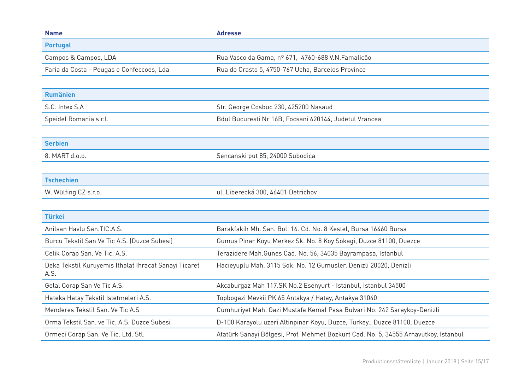| <b>Name</b>                                                   | <b>Adresse</b>                                                                      |
|---------------------------------------------------------------|-------------------------------------------------------------------------------------|
| <b>Portugal</b>                                               |                                                                                     |
| Campos & Campos, LDA                                          | Rua Vasco da Gama, nº 671, 4760-688 V.N. Famalicão                                  |
| Faria da Costa - Peugas e Confeccoes, Lda                     | Rua do Crasto 5, 4750-767 Ucha, Barcelos Province                                   |
|                                                               |                                                                                     |
| <b>Rumänien</b>                                               |                                                                                     |
| S.C. Intex S.A                                                | Str. George Cosbuc 230, 425200 Nasaud                                               |
| Speidel Romania s.r.l.                                        | Bdul Bucuresti Nr 16B, Focsani 620144, Judetul Vrancea                              |
|                                                               |                                                                                     |
| <b>Serbien</b>                                                |                                                                                     |
| 8. MART d.o.o.                                                | Sencanski put 85, 24000 Subodica                                                    |
|                                                               |                                                                                     |
| <b>Tschechien</b>                                             |                                                                                     |
| W. Wülfing CZ s.r.o.                                          | ul. Liberecká 300, 46401 Detrichov                                                  |
|                                                               |                                                                                     |
| <b>Türkei</b>                                                 |                                                                                     |
| Anilsan Haylu San. TIC.A.S.                                   | Barakfakih Mh. San. Bol. 16. Cd. No. 8 Kestel, Bursa 16460 Bursa                    |
| Burcu Tekstil San Ve Tic A.S. (Duzce Subesi)                  | Gumus Pinar Koyu Merkez Sk. No. 8 Koy Sokagi, Duzce 81100, Duezce                   |
| Celik Corap San. Ve Tic. A.S.                                 | Terazidere Mah. Gunes Cad. No. 56, 34035 Bayrampasa, Istanbul                       |
| Deka Tekstil Kuruyemis Ithalat Ihracat Sanayi Ticaret<br>A.S. | Hacieyuplu Mah. 3115 Sok. No. 12 Gumusler, Denizli 20020, Denizli                   |
| Gelal Corap San Ve Tic A.S.                                   | Akcaburgaz Mah 117.SK No.2 Esenyurt - Istanbul, Istanbul 34500                      |
| Hateks Hatay Tekstil Isletmeleri A.S.                         | Topbogazi Mevkii PK 65 Antakya / Hatay, Antakya 31040                               |
| Menderes Tekstil San, Ve Tic A.S                              | Cumhuriyet Mah. Gazi Mustafa Kemal Pasa Bulvari No. 242 Saraykoy-Denizli            |
| Orma Tekstil San, ve Tic. A.S. Duzce Subesi                   | D-100 Karayolu uzeri Altinpinar Koyu, Duzce, Turkey., Duzce 81100, Duezce           |
| Ormeci Corap San. Ve Tic. Ltd. Stl.                           | Atatürk Sanayi Bölgesi, Prof. Mehmet Bozkurt Cad. No. 5, 34555 Arnavutkoy, Istanbul |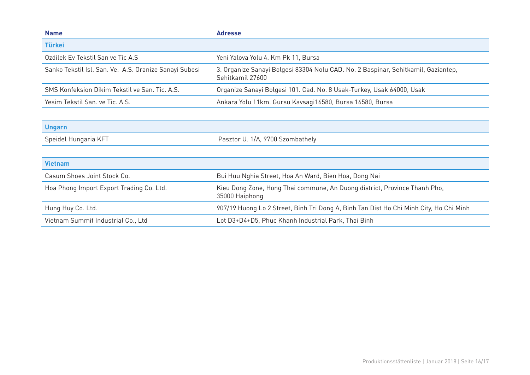| <b>Name</b>                                            | <b>Adresse</b>                                                                                        |
|--------------------------------------------------------|-------------------------------------------------------------------------------------------------------|
| <b>Türkei</b>                                          |                                                                                                       |
| Ozdilek Ev Tekstil San ve Tic A.S                      | Yeni Yalova Yolu 4. Km Pk 11, Bursa                                                                   |
| Sanko Tekstil Isl. San. Ve. A.S. Oranize Sanayi Subesi | 3. Organize Sanayi Bolgesi 83304 Nolu CAD. No. 2 Baspinar, Sehitkamil, Gaziantep,<br>Sehitkamil 27600 |
| SMS Konfeksion Dikim Tekstil ve San. Tic. A.S.         | Organize Sanayi Bolgesi 101. Cad. No. 8 Usak-Turkey, Usak 64000, Usak                                 |
| Yesim Tekstil San. ve Tic. A.S.                        | Ankara Yolu 11km. Gursu Kavsagi16580, Bursa 16580, Bursa                                              |
|                                                        |                                                                                                       |
| <b>Ungarn</b>                                          |                                                                                                       |
| Speidel Hungaria KFT                                   | Pasztor U. 1/A, 9700 Szombathely                                                                      |
|                                                        |                                                                                                       |
| <b>Vietnam</b>                                         |                                                                                                       |
| Casum Shoes Joint Stock Co.                            | Bui Huu Nghia Street, Hoa An Ward, Bien Hoa, Dong Nai                                                 |
| Hoa Phong Import Export Trading Co. Ltd.               | Kieu Dong Zone, Hong Thai commune, An Duong district, Province Thanh Pho,<br>35000 Haiphong           |
| Hung Huy Co. Ltd.                                      | 907/19 Huong Lo 2 Street, Binh Tri Dong A, Binh Tan Dist Ho Chi Minh City, Ho Chi Minh                |
| Vietnam Summit Industrial Co., Ltd                     | Lot D3+D4+D5, Phuc Khanh Industrial Park, Thai Binh                                                   |